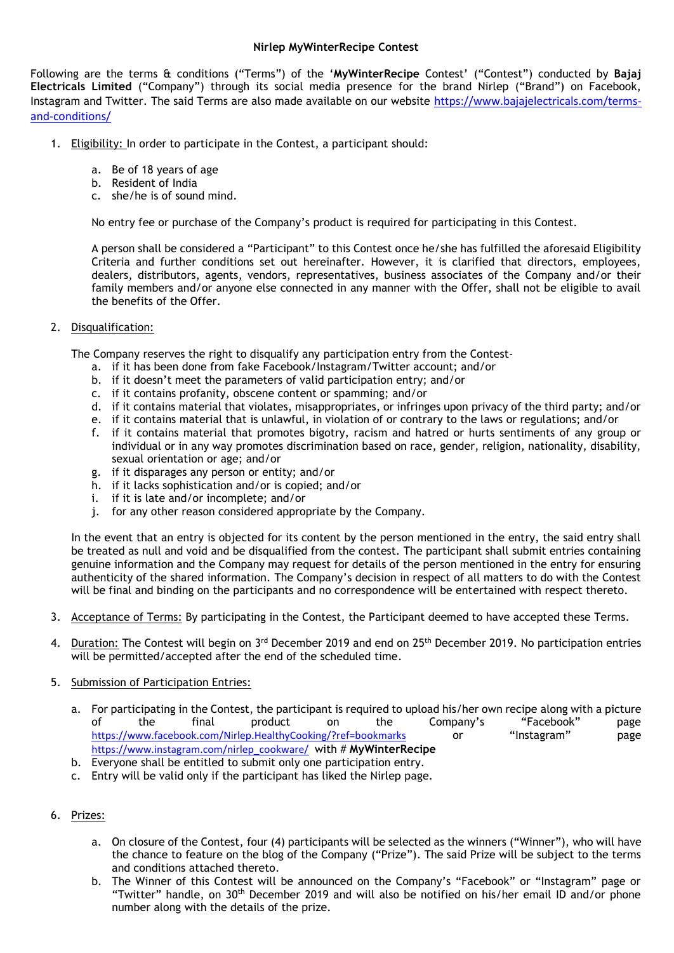## **Nirlep MyWinterRecipe Contest**

Following are the terms & conditions ("Terms") of the '**MyWinterRecipe** Contest' ("Contest") conducted by **Bajaj Electricals Limited** ("Company") through its social media presence for the brand Nirlep ("Brand") on Facebook, Instagram and Twitter. The said Terms are also made available on our website [https://www.bajajelectricals.com/terms](https://www.bajajelectricals.com/terms-and-conditions/)[and-conditions/](https://www.bajajelectricals.com/terms-and-conditions/)

- 1. Eligibility: In order to participate in the Contest, a participant should:
	- a. Be of 18 years of age
	- b. Resident of India
	- c. she/he is of sound mind.

No entry fee or purchase of the Company's product is required for participating in this Contest.

A person shall be considered a "Participant" to this Contest once he/she has fulfilled the aforesaid Eligibility Criteria and further conditions set out hereinafter. However, it is clarified that directors, employees, dealers, distributors, agents, vendors, representatives, business associates of the Company and/or their family members and/or anyone else connected in any manner with the Offer, shall not be eligible to avail the benefits of the Offer.

## 2. Disqualification:

The Company reserves the right to disqualify any participation entry from the Contest-

- a. if it has been done from fake Facebook/Instagram/Twitter account; and/or
- b. if it doesn't meet the parameters of valid participation entry; and/or
- c. if it contains profanity, obscene content or spamming; and/or
- d. if it contains material that violates, misappropriates, or infringes upon privacy of the third party; and/or
- e. if it contains material that is unlawful, in violation of or contrary to the laws or regulations; and/or
- f. if it contains material that promotes bigotry, racism and hatred or hurts sentiments of any group or individual or in any way promotes discrimination based on race, gender, religion, nationality, disability, sexual orientation or age; and/or
- g. if it disparages any person or entity; and/or
- h. if it lacks sophistication and/or is copied; and/or
- i. if it is late and/or incomplete; and/or
- j. for any other reason considered appropriate by the Company.

In the event that an entry is objected for its content by the person mentioned in the entry, the said entry shall be treated as null and void and be disqualified from the contest. The participant shall submit entries containing genuine information and the Company may request for details of the person mentioned in the entry for ensuring authenticity of the shared information. The Company's decision in respect of all matters to do with the Contest will be final and binding on the participants and no correspondence will be entertained with respect thereto.

- 3. Acceptance of Terms: By participating in the Contest, the Participant deemed to have accepted these Terms.
- 4. Duration: The Contest will begin on 3<sup>rd</sup> December 2019 and end on 25<sup>th</sup> December 2019. No participation entries will be permitted/accepted after the end of the scheduled time.
- 5. Submission of Participation Entries:
	- a. For participating in the Contest, the participant is required to upload his/her own recipe along with a picture of the final product on the Company's "Facebook" page <https://www.facebook.com/Nirlep.HealthyCooking/?ref=bookmarks> or "Instagram" page [https://www.instagram.com/nirlep\\_cookware/](https://www.instagram.com/nirlep_cookware/) with # **MyWinterRecipe**
	- b. Everyone shall be entitled to submit only one participation entry.
	- c. Entry will be valid only if the participant has liked the Nirlep page.

## 6. Prizes:

- a. On closure of the Contest, four (4) participants will be selected as the winners ("Winner"), who will have the chance to feature on the blog of the Company ("Prize"). The said Prize will be subject to the terms and conditions attached thereto.
- b. The Winner of this Contest will be announced on the Company's "Facebook" or "Instagram" page or "Twitter" handle, on  $30<sup>th</sup>$  December 2019 and will also be notified on his/her email ID and/or phone number along with the details of the prize.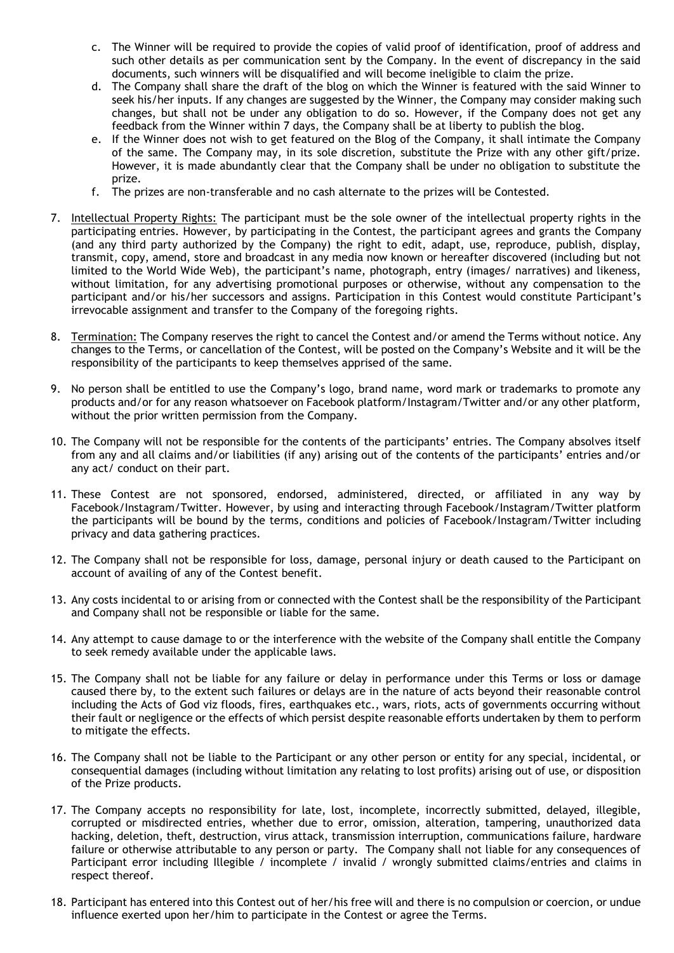- c. The Winner will be required to provide the copies of valid proof of identification, proof of address and such other details as per communication sent by the Company. In the event of discrepancy in the said documents, such winners will be disqualified and will become ineligible to claim the prize.
- d. The Company shall share the draft of the blog on which the Winner is featured with the said Winner to seek his/her inputs. If any changes are suggested by the Winner, the Company may consider making such changes, but shall not be under any obligation to do so. However, if the Company does not get any feedback from the Winner within 7 days, the Company shall be at liberty to publish the blog.
- e. If the Winner does not wish to get featured on the Blog of the Company, it shall intimate the Company of the same. The Company may, in its sole discretion, substitute the Prize with any other gift/prize. However, it is made abundantly clear that the Company shall be under no obligation to substitute the prize.
- f. The prizes are non-transferable and no cash alternate to the prizes will be Contested.
- 7. Intellectual Property Rights: The participant must be the sole owner of the intellectual property rights in the participating entries. However, by participating in the Contest, the participant agrees and grants the Company (and any third party authorized by the Company) the right to edit, adapt, use, reproduce, publish, display, transmit, copy, amend, store and broadcast in any media now known or hereafter discovered (including but not limited to the World Wide Web), the participant's name, photograph, entry (images/ narratives) and likeness, without limitation, for any advertising promotional purposes or otherwise, without any compensation to the participant and/or his/her successors and assigns. Participation in this Contest would constitute Participant's irrevocable assignment and transfer to the Company of the foregoing rights.
- 8. Termination: The Company reserves the right to cancel the Contest and/or amend the Terms without notice. Any changes to the Terms, or cancellation of the Contest, will be posted on the Company's Website and it will be the responsibility of the participants to keep themselves apprised of the same.
- 9. No person shall be entitled to use the Company's logo, brand name, word mark or trademarks to promote any products and/or for any reason whatsoever on Facebook platform/Instagram/Twitter and/or any other platform, without the prior written permission from the Company.
- 10. The Company will not be responsible for the contents of the participants' entries. The Company absolves itself from any and all claims and/or liabilities (if any) arising out of the contents of the participants' entries and/or any act/ conduct on their part.
- 11. These Contest are not sponsored, endorsed, administered, directed, or affiliated in any way by Facebook/Instagram/Twitter. However, by using and interacting through Facebook/Instagram/Twitter platform the participants will be bound by the terms, conditions and policies of Facebook/Instagram/Twitter including privacy and data gathering practices.
- 12. The Company shall not be responsible for loss, damage, personal injury or death caused to the Participant on account of availing of any of the Contest benefit.
- 13. Any costs incidental to or arising from or connected with the Contest shall be the responsibility of the Participant and Company shall not be responsible or liable for the same.
- 14. Any attempt to cause damage to or the interference with the website of the Company shall entitle the Company to seek remedy available under the applicable laws.
- 15. The Company shall not be liable for any failure or delay in performance under this Terms or loss or damage caused there by, to the extent such failures or delays are in the nature of acts beyond their reasonable control including the Acts of God viz floods, fires, earthquakes etc., wars, riots, acts of governments occurring without their fault or negligence or the effects of which persist despite reasonable efforts undertaken by them to perform to mitigate the effects.
- 16. The Company shall not be liable to the Participant or any other person or entity for any special, incidental, or consequential damages (including without limitation any relating to lost profits) arising out of use, or disposition of the Prize products.
- 17. The Company accepts no responsibility for late, lost, incomplete, incorrectly submitted, delayed, illegible, corrupted or misdirected entries, whether due to error, omission, alteration, tampering, unauthorized data hacking, deletion, theft, destruction, virus attack, transmission interruption, communications failure, hardware failure or otherwise attributable to any person or party. The Company shall not liable for any consequences of Participant error including Illegible / incomplete / invalid / wrongly submitted claims/entries and claims in respect thereof.
- 18. Participant has entered into this Contest out of her/his free will and there is no compulsion or coercion, or undue influence exerted upon her/him to participate in the Contest or agree the Terms.